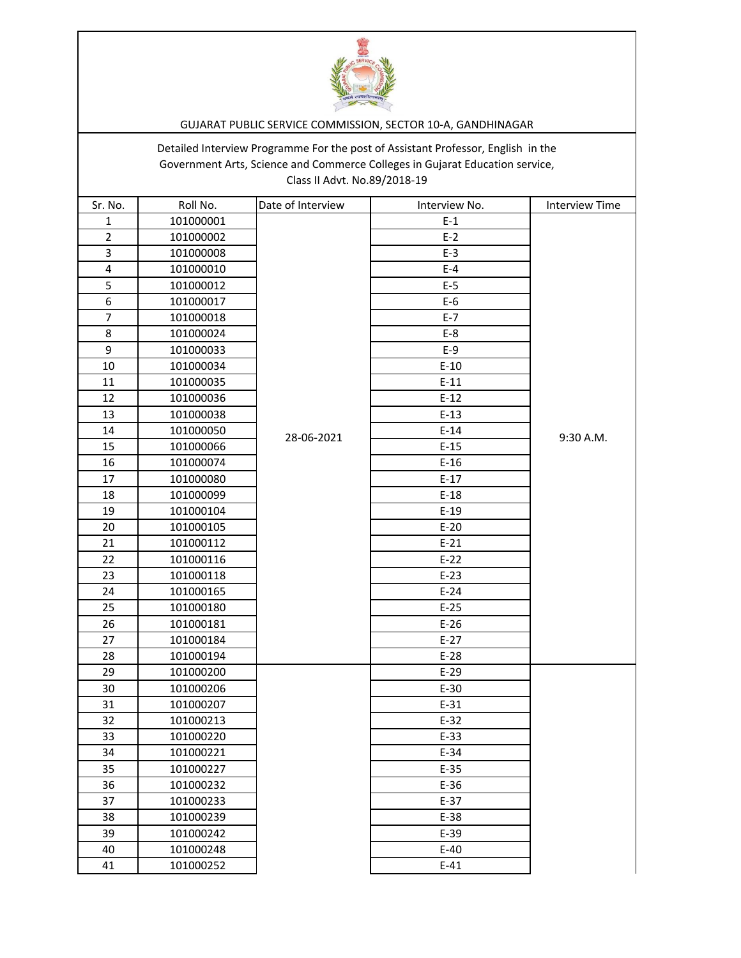

## GUJARAT PUBLIC SERVICE COMMISSION, SECTOR 10-A, GANDHINAGAR

Detailed Interview Programme For the post of Assistant Professor, English in the Government Arts, Science and Commerce Colleges in Gujarat Education service, Class II Advt. No.89/2018-19

| Sr. No.        | Roll No.  | Date of Interview | Interview No. | <b>Interview Time</b> |
|----------------|-----------|-------------------|---------------|-----------------------|
| $\mathbf{1}$   | 101000001 |                   | $E-1$         |                       |
| $\overline{2}$ | 101000002 |                   | $E-2$         |                       |
| 3              | 101000008 |                   | $E-3$         |                       |
| 4              | 101000010 |                   | $E-4$         |                       |
| 5              | 101000012 |                   | $E-5$         |                       |
| 6              | 101000017 |                   | $E-6$         |                       |
| $\overline{7}$ | 101000018 |                   | $E-7$         |                       |
| 8              | 101000024 |                   | $E-8$         |                       |
| 9              | 101000033 |                   | $E-9$         |                       |
| 10             | 101000034 |                   | $E-10$        |                       |
| 11             | 101000035 |                   | $E-11$        |                       |
| 12             | 101000036 |                   | $E-12$        |                       |
| 13             | 101000038 |                   | $E-13$        |                       |
| 14             | 101000050 | 28-06-2021        | $E-14$        | 9:30 A.M.             |
| 15             | 101000066 |                   | $E-15$        |                       |
| 16             | 101000074 |                   | $E-16$        |                       |
| 17             | 101000080 |                   | $E-17$        |                       |
| 18             | 101000099 |                   | $E-18$        |                       |
| 19             | 101000104 |                   | $E-19$        |                       |
| 20             | 101000105 |                   | $E-20$        |                       |
| 21             | 101000112 |                   | $E-21$        |                       |
| 22             | 101000116 |                   | $E-22$        |                       |
| 23             | 101000118 |                   | $E-23$        |                       |
| 24             | 101000165 |                   | $E-24$        |                       |
| 25             | 101000180 |                   | $E-25$        |                       |
| 26             | 101000181 |                   | $E-26$        |                       |
| 27             | 101000184 |                   | $E-27$        |                       |
| 28             | 101000194 |                   | $E-28$        |                       |
| 29             | 101000200 |                   | $E-29$        |                       |
| 30             | 101000206 |                   | $E-30$        |                       |
| 31             | 101000207 |                   | $E-31$        |                       |
| 32             | 101000213 |                   | $E-32$        |                       |
| 33             | 101000220 |                   | $E-33$        |                       |
| 34             | 101000221 |                   | $E-34$        |                       |
| 35             | 101000227 |                   | $E-35$        |                       |
| 36             | 101000232 |                   | $E-36$        |                       |
| 37             | 101000233 |                   | $E-37$        |                       |
| 38             | 101000239 |                   | $E-38$        |                       |
| 39             | 101000242 |                   | $E-39$        |                       |
| 40             | 101000248 |                   | $E-40$        |                       |
| 41             | 101000252 |                   | $E-41$        |                       |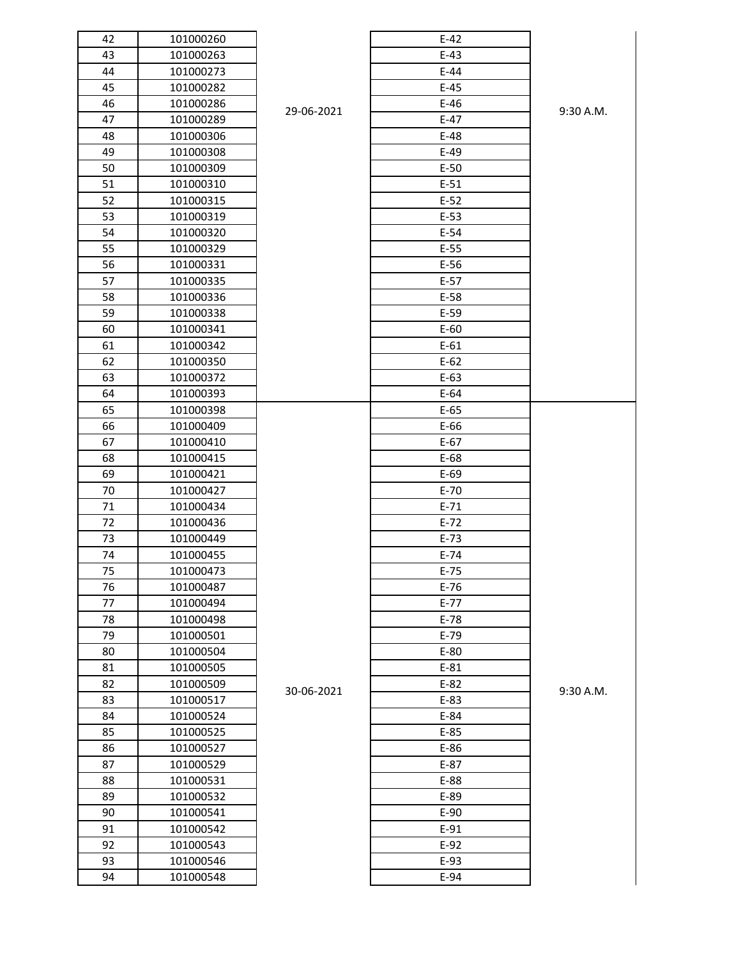| 42 | 101000260 |            | $E-42$   |
|----|-----------|------------|----------|
| 43 | 101000263 |            | $E-43$   |
| 44 | 101000273 |            | $E-44$   |
| 45 | 101000282 |            | $E-45$   |
| 46 | 101000286 | 29-06-2021 | $E-46$   |
| 47 | 101000289 |            | $E-47$   |
| 48 | 101000306 |            | $E-48$   |
| 49 | 101000308 |            | $E-49$   |
| 50 | 101000309 |            | $E-50$   |
| 51 | 101000310 |            | $E-51$   |
| 52 | 101000315 |            | $E-52$   |
| 53 | 101000319 |            | $E-53$   |
| 54 | 101000320 |            | $E-54$   |
| 55 | 101000329 |            | $E-55$   |
| 56 | 101000331 |            | $E-56$   |
| 57 | 101000335 |            | $E-57$   |
| 58 | 101000336 |            | $E-58$   |
| 59 | 101000338 |            | $E-59$   |
| 60 | 101000341 |            | $E-60$   |
| 61 | 101000342 |            | $E-61$   |
| 62 | 101000350 |            | $E-62$   |
| 63 | 101000372 |            | $E-63$   |
| 64 | 101000393 |            | $E-64$   |
| 65 | 101000398 |            | $E-65$   |
| 66 | 101000409 |            | $E-66$   |
| 67 | 101000410 |            | $E-67$   |
| 68 | 101000415 |            | $E-68$   |
| 69 | 101000421 |            | $E-69$   |
| 70 | 101000427 |            | $E-70$   |
| 71 | 101000434 |            | $E-71$   |
| 72 | 101000436 |            | $E-72$   |
| 73 | 101000449 |            | $E-73$   |
| 74 | 101000455 |            | $E-74$   |
| 75 | 101000473 |            | $E-75$   |
| 76 | 101000487 |            | $E-76$   |
| 77 | 101000494 |            | $E - 77$ |
| 78 | 101000498 |            | $E-78$   |
| 79 | 101000501 |            | $E-79$   |
| 80 | 101000504 |            | $E-80$   |
| 81 | 101000505 |            | $E-81$   |
| 82 | 101000509 |            | $E-82$   |
| 83 | 101000517 | 30-06-2021 | $E-83$   |
| 84 | 101000524 |            | $E-84$   |
| 85 | 101000525 |            | $E-85$   |
| 86 | 101000527 |            | $E-86$   |
| 87 | 101000529 |            | $E-87$   |
| 88 | 101000531 |            | $E-88$   |
| 89 | 101000532 |            | $E-89$   |
| 90 | 101000541 |            | $E-90$   |
| 91 | 101000542 |            | $E-91$   |
| 92 | 101000543 |            | $E-92$   |
| 93 | 101000546 |            | $E-93$   |
| 94 | 101000548 |            | $E-94$   |
|    |           |            |          |

| $E-42$ |           |
|--------|-----------|
| $E-43$ |           |
| $E-44$ |           |
| $E-45$ |           |
| $E-46$ | 9:30 A.M. |
| $E-47$ |           |
| $E-48$ |           |
| $E-49$ |           |
| $E-50$ |           |
| $E-51$ |           |
| $E-52$ |           |
| $E-53$ |           |
| $E-54$ |           |
| $E-55$ |           |
| $E-56$ |           |
| $E-57$ |           |
| $E-58$ |           |
| $E-59$ |           |
| $E-60$ |           |
| $E-61$ |           |
| $E-62$ |           |
| $E-63$ |           |
| $E-64$ |           |
| $E-65$ |           |
| E-66   |           |
| $E-67$ |           |
| $E-68$ |           |
| $E-69$ |           |
| $E-70$ |           |
| $E-71$ |           |
| $E-72$ |           |
| $E-73$ |           |
| $E-74$ |           |
| $E-75$ |           |
| $E-76$ |           |
| $E-77$ |           |
| $E-78$ |           |
| $E-79$ |           |
| $E-80$ |           |
| $E-81$ |           |
| $E-82$ | 9:30 A.M. |
| E-83   |           |
| $E-84$ |           |
| $E-85$ |           |
| $E-86$ |           |
| $E-87$ |           |
| E-88   |           |
| E-89   |           |
| $E-90$ |           |
| $E-91$ |           |
| $E-92$ |           |
| E-93   |           |
| $E-94$ |           |
|        |           |